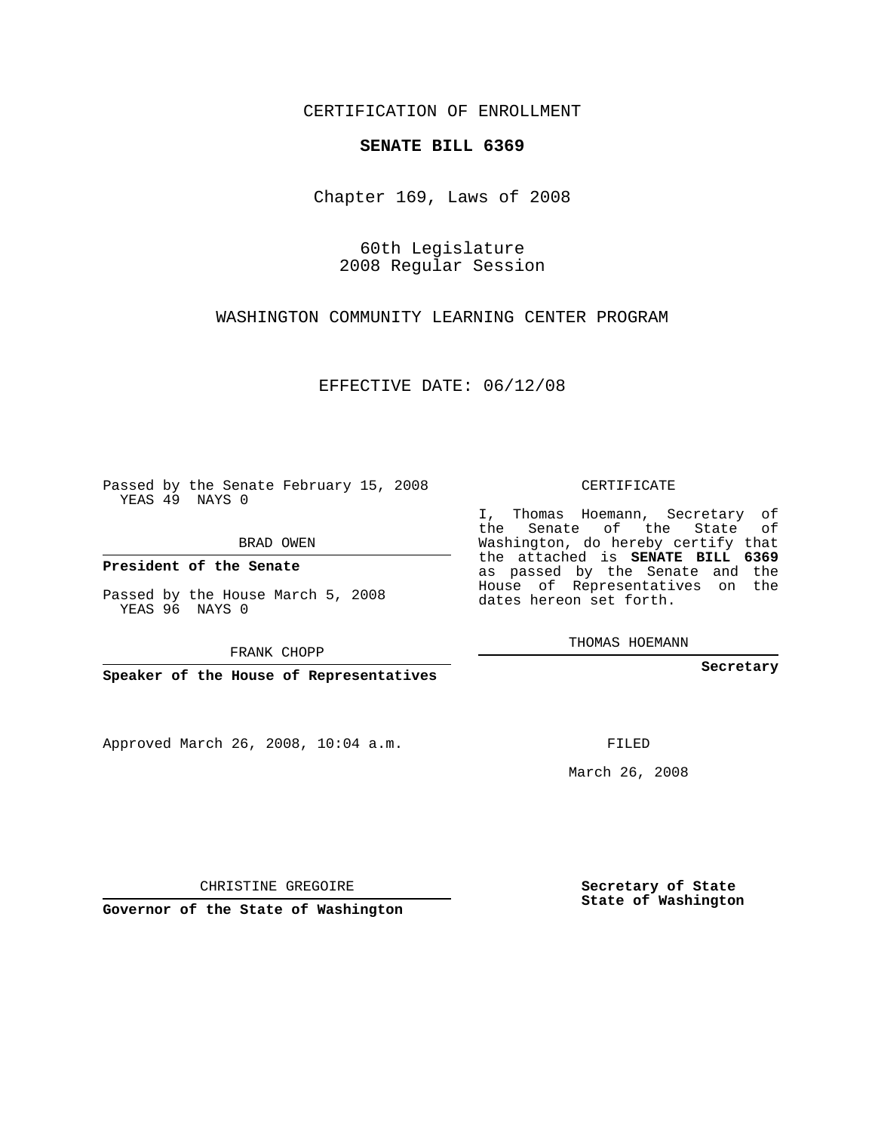CERTIFICATION OF ENROLLMENT

## **SENATE BILL 6369**

Chapter 169, Laws of 2008

60th Legislature 2008 Regular Session

WASHINGTON COMMUNITY LEARNING CENTER PROGRAM

EFFECTIVE DATE: 06/12/08

Passed by the Senate February 15, 2008 YEAS 49 NAYS 0

BRAD OWEN

**President of the Senate**

Passed by the House March 5, 2008 YEAS 96 NAYS 0

FRANK CHOPP

**Speaker of the House of Representatives**

Approved March 26, 2008, 10:04 a.m.

CERTIFICATE

I, Thomas Hoemann, Secretary of the Senate of the State of Washington, do hereby certify that the attached is **SENATE BILL 6369** as passed by the Senate and the House of Representatives on the dates hereon set forth.

THOMAS HOEMANN

**Secretary**

FILED

March 26, 2008

**Secretary of State State of Washington**

CHRISTINE GREGOIRE

**Governor of the State of Washington**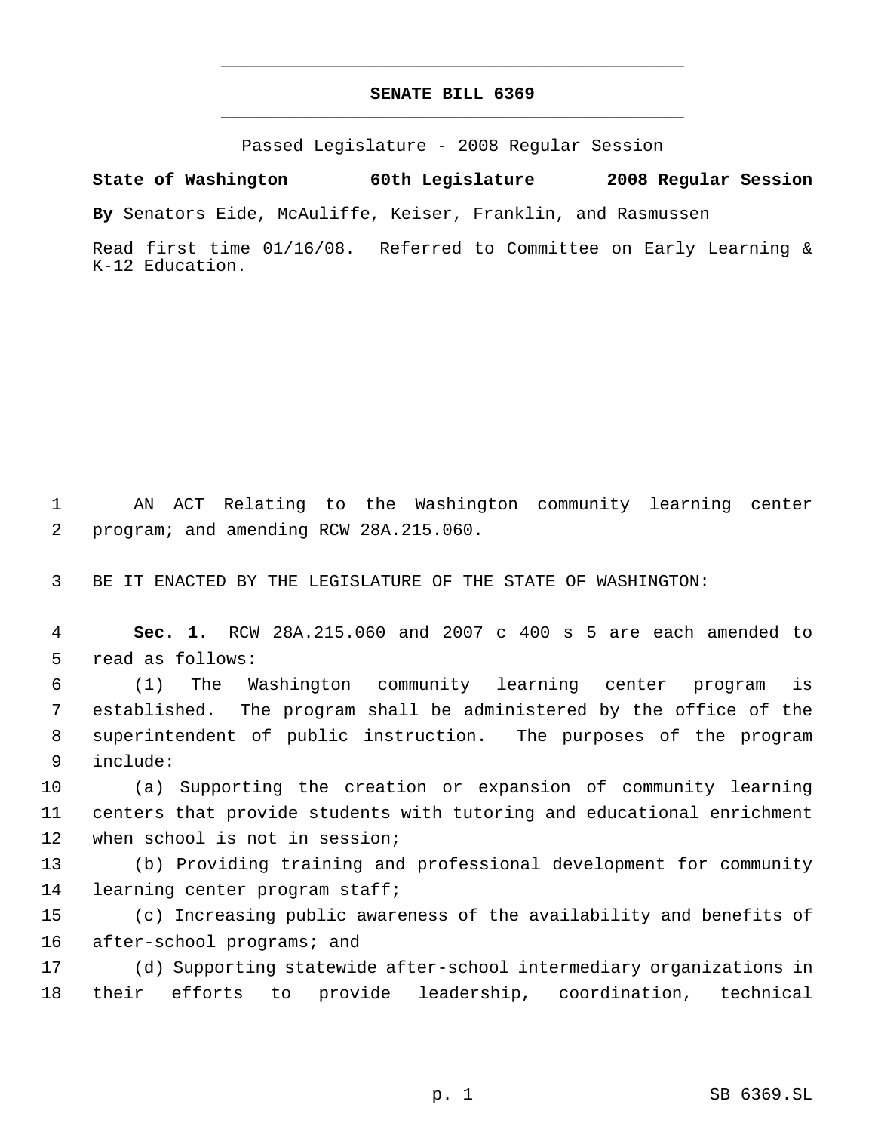## **SENATE BILL 6369** \_\_\_\_\_\_\_\_\_\_\_\_\_\_\_\_\_\_\_\_\_\_\_\_\_\_\_\_\_\_\_\_\_\_\_\_\_\_\_\_\_\_\_\_\_

\_\_\_\_\_\_\_\_\_\_\_\_\_\_\_\_\_\_\_\_\_\_\_\_\_\_\_\_\_\_\_\_\_\_\_\_\_\_\_\_\_\_\_\_\_

Passed Legislature - 2008 Regular Session

**State of Washington 60th Legislature 2008 Regular Session**

**By** Senators Eide, McAuliffe, Keiser, Franklin, and Rasmussen

Read first time 01/16/08. Referred to Committee on Early Learning & K-12 Education.

 1 AN ACT Relating to the Washington community learning center 2 program; and amending RCW 28A.215.060.

3 BE IT ENACTED BY THE LEGISLATURE OF THE STATE OF WASHINGTON:

 4 **Sec. 1.** RCW 28A.215.060 and 2007 c 400 s 5 are each amended to 5 read as follows:

 (1) The Washington community learning center program is established. The program shall be administered by the office of the superintendent of public instruction. The purposes of the program include:

10 (a) Supporting the creation or expansion of community learning 11 centers that provide students with tutoring and educational enrichment 12 when school is not in session;

13 (b) Providing training and professional development for community 14 learning center program staff;

15 (c) Increasing public awareness of the availability and benefits of 16 after-school programs; and

17 (d) Supporting statewide after-school intermediary organizations in 18 their efforts to provide leadership, coordination, technical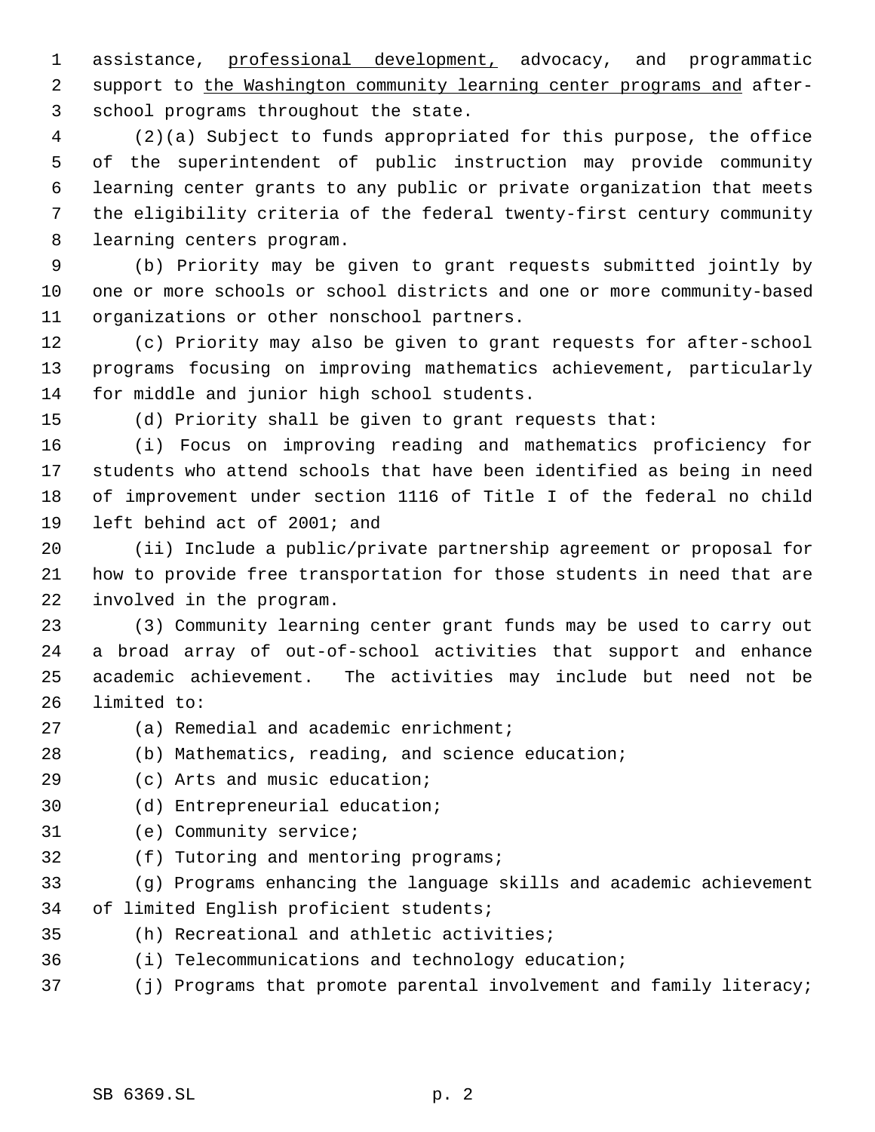assistance, professional development, advocacy, and programmatic 2 support to the Washington community learning center programs and after-school programs throughout the state.

 (2)(a) Subject to funds appropriated for this purpose, the office of the superintendent of public instruction may provide community learning center grants to any public or private organization that meets the eligibility criteria of the federal twenty-first century community learning centers program.

 (b) Priority may be given to grant requests submitted jointly by one or more schools or school districts and one or more community-based organizations or other nonschool partners.

 (c) Priority may also be given to grant requests for after-school programs focusing on improving mathematics achievement, particularly for middle and junior high school students.

(d) Priority shall be given to grant requests that:

 (i) Focus on improving reading and mathematics proficiency for students who attend schools that have been identified as being in need of improvement under section 1116 of Title I of the federal no child left behind act of 2001; and

 (ii) Include a public/private partnership agreement or proposal for how to provide free transportation for those students in need that are involved in the program.

 (3) Community learning center grant funds may be used to carry out a broad array of out-of-school activities that support and enhance academic achievement. The activities may include but need not be limited to:

- (a) Remedial and academic enrichment;
- (b) Mathematics, reading, and science education;
- (c) Arts and music education;
- (d) Entrepreneurial education;
- (e) Community service;
- (f) Tutoring and mentoring programs;
- (g) Programs enhancing the language skills and academic achievement of limited English proficient students;
- (h) Recreational and athletic activities;
- (i) Telecommunications and technology education;
- (j) Programs that promote parental involvement and family literacy;